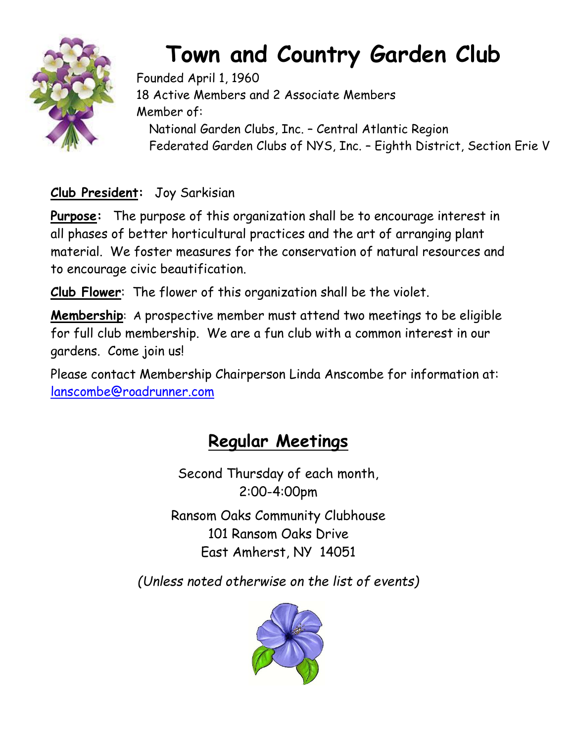

# **Town and Country Garden Club**

Founded April 1, 1960 18 Active Members and 2 Associate Members Member of: National Garden Clubs, Inc. – Central Atlantic Region Federated Garden Clubs of NYS, Inc. – Eighth District, Section Erie V

**Club President:** Joy Sarkisian

**Purpose:** The purpose of this organization shall be to encourage interest in all phases of better horticultural practices and the art of arranging plant material. We foster measures for the conservation of natural resources and to encourage civic beautification.

**Club Flower**: The flower of this organization shall be the violet.

**Membership**: A prospective member must attend two meetings to be eligible for full club membership. We are a fun club with a common interest in our gardens. Come join us!

Please contact Membership Chairperson Linda Anscombe for information at: [lanscombe@roadrunner.com](about:blank)

# **Regular Meetings**

Second Thursday of each month, 2:00-4:00pm

Ransom Oaks Community Clubhouse 101 Ransom Oaks Drive East Amherst, NY 14051

*(Unless noted otherwise on the list of events)*

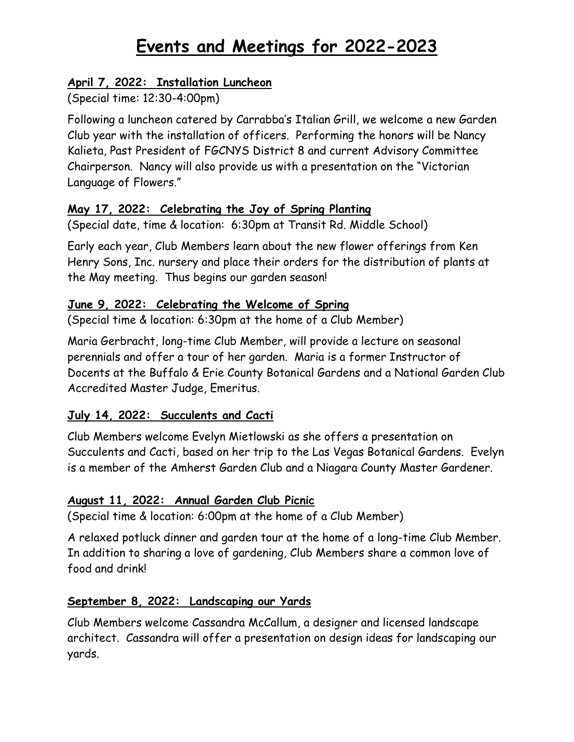# **Events and Meetings for 2022-2023**

#### **April 7, 2022: Installation Luncheon**

(Special time: 12:30-4:00pm)

Following a luncheon catered by Carrabba's Italian Grill, we welcome a new Garden Club year with the installation of officers. Performing the honors will be Nancy Kalieta, Past President of FGCNYS District 8 and current Advisory Committee Chairperson. Nancy will also provide us with a presentation on the "Victorian Language of Flowers."

#### **May 17, 2022: Celebrating the Joy of Spring Planting**

(Special date, time & location: 6:30pm at Transit Rd. Middle School)

Early each year, Club Members learn about the new flower offerings from Ken Henry Sons, Inc. nursery and place their orders for the distribution of plants at the May meeting. Thus begins our garden season!

#### **June 9, 2022: Celebrating the Welcome of Spring**

(Special time & location: 6:30pm at the home of a Club Member)

Maria Gerbracht, long-time Club Member, will provide a lecture on seasonal perennials and offer a tour of her garden. Maria is a former Instructor of Docents at the Buffalo & Erie County Botanical Gardens and a National Garden Club Accredited Master Judge, Emeritus.

#### **July 14, 2022: Succulents and Cacti**

Club Members welcome Evelyn Mietlowski as she offers a presentation on Succulents and Cacti, based on her trip to the Las Vegas Botanical Gardens. Evelyn is a member of the Amherst Garden Club and a Niagara County Master Gardener.

#### **August 11, 2022: Annual Garden Club Picnic**

(Special time & location: 6:00pm at the home of a Club Member)

A relaxed potluck dinner and garden tour at the home of a long-time Club Member. In addition to sharing a love of gardening, Club Members share a common love of food and drink!

#### **September 8, 2022: Landscaping our Yards**

Club Members welcome Cassandra McCallum, a designer and licensed landscape architect. Cassandra will offer a presentation on design ideas for landscaping our yards.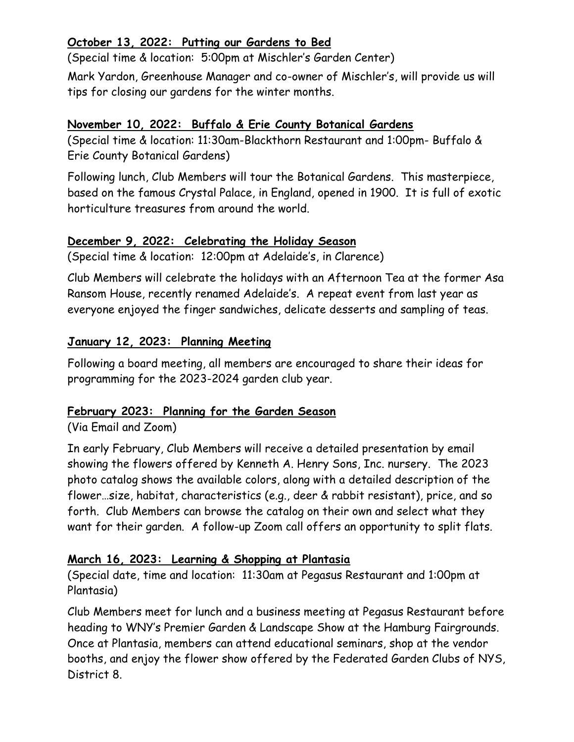#### **October 13, 2022: Putting our Gardens to Bed**

(Special time & location: 5:00pm at Mischler's Garden Center)

Mark Yardon, Greenhouse Manager and co-owner of Mischler's, will provide us will tips for closing our gardens for the winter months.

#### **November 10, 2022: Buffalo & Erie County Botanical Gardens**

(Special time & location: 11:30am-Blackthorn Restaurant and 1:00pm- Buffalo & Erie County Botanical Gardens)

Following lunch, Club Members will tour the Botanical Gardens. This masterpiece, based on the famous Crystal Palace, in England, opened in 1900. It is full of exotic horticulture treasures from around the world.

#### **December 9, 2022: Celebrating the Holiday Season**

(Special time & location: 12:00pm at Adelaide's, in Clarence)

Club Members will celebrate the holidays with an Afternoon Tea at the former Asa Ransom House, recently renamed Adelaide's. A repeat event from last year as everyone enjoyed the finger sandwiches, delicate desserts and sampling of teas.

#### **January 12, 2023: Planning Meeting**

Following a board meeting, all members are encouraged to share their ideas for programming for the 2023-2024 garden club year.

#### **February 2023: Planning for the Garden Season**

#### (Via Email and Zoom)

In early February, Club Members will receive a detailed presentation by email showing the flowers offered by Kenneth A. Henry Sons, Inc. nursery. The 2023 photo catalog shows the available colors, along with a detailed description of the flower…size, habitat, characteristics (e.g., deer & rabbit resistant), price, and so forth. Club Members can browse the catalog on their own and select what they want for their garden. A follow-up Zoom call offers an opportunity to split flats.

#### **March 16, 2023: Learning & Shopping at Plantasia**

(Special date, time and location: 11:30am at Pegasus Restaurant and 1:00pm at Plantasia)

Club Members meet for lunch and a business meeting at Pegasus Restaurant before heading to WNY's Premier Garden & Landscape Show at the Hamburg Fairgrounds. Once at Plantasia, members can attend educational seminars, shop at the vendor booths, and enjoy the flower show offered by the Federated Garden Clubs of NYS, District 8.